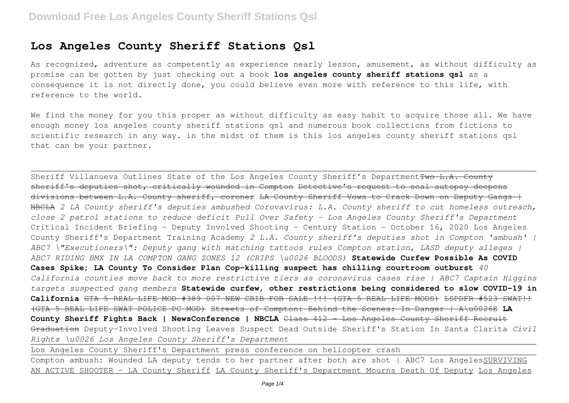# **Los Angeles County Sheriff Stations Qsl**

As recognized, adventure as competently as experience nearly lesson, amusement, as without difficulty as promise can be gotten by just checking out a book **los angeles county sheriff stations qsl** as a consequence it is not directly done, you could believe even more with reference to this life, with reference to the world.

We find the money for you this proper as without difficulty as easy habit to acquire those all. We have enough money los angeles county sheriff stations qsl and numerous book collections from fictions to scientific research in any way. in the midst of them is this los angeles county sheriff stations qsl that can be your partner.

Sheriff Villanueva Outlines State of the Los Angeles County Sheriff's Department<del>Two L.A. County</del> sheriff's deputies shot, critically wounded in Compton Detective's request to seal autopsy deepens divisions between L.A. County sheriff, coroner LA County Sheriff Vows to Crack Down on Deputy Gangs + NBCLA *2 LA County sheriff's deputies ambushed Corovavirus: L.A. County sheriff to cut homeless outreach, close 2 patrol stations to reduce deficit Pull Over Safety - Los Angeles County Sheriff's Department* Critical Incident Briefing - Deputy Involved Shooting - Century Station - October 16, 2020 Los Angeles County Sheriff's Department Training Academy *2 L.A. County sheriff's deputies shot in Compton 'ambush' | ABC7 \"Executioners\": Deputy gang with matching tattoos rules Compton station, LASD deputy alleges | ABC7 RIDING BMX IN LA COMPTON GANG ZONES 12 (CRIPS \u0026 BLOODS)* **Statewide Curfew Possible As COVID Cases Spike; LA County To Consider Plan Cop-killing suspect has chilling courtroom outburst** *40 California counties move back to more restrictive tiers as coronavirus cases rise | ABC7 Captain Higgins targets suspected gang members* **Statewide curfew, other restrictions being considered to slow COVID-19 in California** GTA 5 REAL LIFE MOD #389 007 NEW CRIB FOR SALE !!! (GTA 5 REAL LIFE MODS) LSPDFR #523 SWAT!! (GTA 5 REAL LIFE SWAT POLICE PC MOD) Streets of Compton: Behind the Scenes: In Danger | A\u0026E **LA County Sheriff Fights Back | NewsConference | NBCLA** Class 412 - Los Angeles County Sheriff Recruit Graduation Deputy-Involved Shooting Leaves Suspect Dead Outside Sheriff's Station In Santa Clarita *Civil Rights \u0026 Los Angeles County Sheriff's Department*

Los Angeles County Sheriff's Department press conference on helicopter crash

Compton ambush: Wounded LA deputy tends to her partner after both are shot | ABC7 Los AngelesSURVIVING AN ACTIVE SHOOTER - LA County Sheriff LA County Sheriff's Department Mourns Death Of Deputy Los Angeles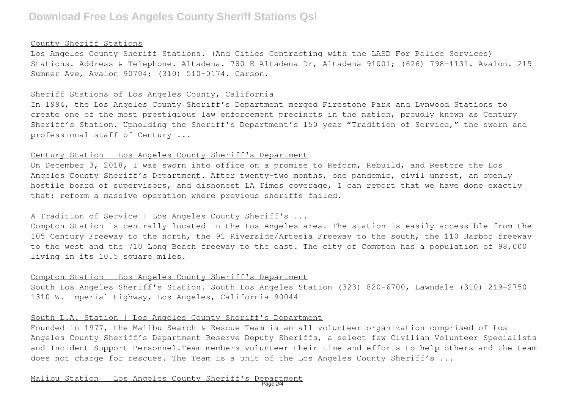#### County Sheriff Stations

Los Angeles County Sheriff Stations. (And Cities Contracting with the LASD For Police Services) Stations. Address & Telephone. Altadena. 780 E Altadena Dr, Altadena 91001; (626) 798-1131. Avalon. 215 Sumner Ave, Avalon 90704; (310) 510-0174. Carson.

# Sheriff Stations of Los Angeles County, California

In 1994, the Los Angeles County Sheriff's Department merged Firestone Park and Lynwood Stations to create one of the most prestigious law enforcement precincts in the nation, proudly known as Century Sheriff's Station. Upholding the Sheriff's Department's 150 year "Tradition of Service," the sworn and professional staff of Century ...

### Century Station | Los Angeles County Sheriff's Department

On December 3, 2018, I was sworn into office on a promise to Reform, Rebuild, and Restore the Los Angeles County Sheriff's Department. After twenty-two months, one pandemic, civil unrest, an openly hostile board of supervisors, and dishonest LA Times coverage, I can report that we have done exactly that: reform a massive operation where previous sheriffs failed.

### A Tradition of Service | Los Angeles County Sheriff's ...

Compton Station is centrally located in the Los Angeles area. The station is easily accessible from the 105 Century Freeway to the north, the 91 Riverside/Artesia Freeway to the south, the 110 Harbor freeway to the west and the 710 Long Beach freeway to the east. The city of Compton has a population of 98,000 living in its 10.5 square miles.

#### Compton Station | Los Angeles County Sheriff's Department

South Los Angeles Sheriff's Station. South Los Angeles Station (323) 820-6700, Lawndale (310) 219-2750 1310 W. Imperial Highway, Los Angeles, California 90044

# South L.A. Station | Los Angeles County Sheriff's Department

Founded in 1977, the Malibu Search & Rescue Team is an all volunteer organization comprised of Los Angeles County Sheriff's Department Reserve Deputy Sheriffs, a select few Civilian Volunteer Specialists and Incident Support Personnel.Team members volunteer their time and efforts to help others and the team does not charge for rescues. The Team is a unit of the Los Angeles County Sheriff's ...

Malibu Station | Los Angeles County Sheriff's Department Page 2/4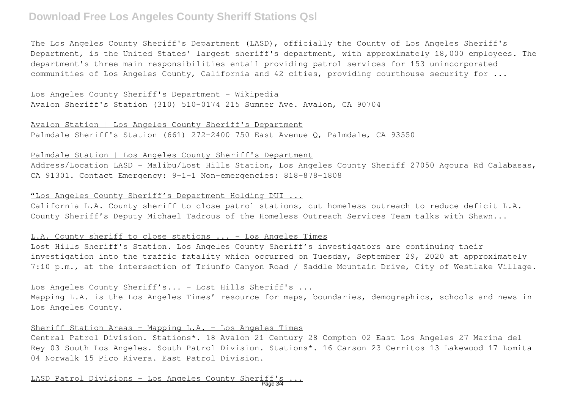# **Download Free Los Angeles County Sheriff Stations Qsl**

The Los Angeles County Sheriff's Department (LASD), officially the County of Los Angeles Sheriff's Department, is the United States' largest sheriff's department, with approximately 18,000 employees. The department's three main responsibilities entail providing patrol services for 153 unincorporated communities of Los Angeles County, California and 42 cities, providing courthouse security for ...

Los Angeles County Sheriff's Department - Wikipedia Avalon Sheriff's Station (310) 510-0174 215 Sumner Ave. Avalon, CA 90704

Avalon Station | Los Angeles County Sheriff's Department Palmdale Sheriff's Station (661) 272-2400 750 East Avenue Q, Palmdale, CA 93550

Palmdale Station | Los Angeles County Sheriff's Department

Address/Location LASD - Malibu/Lost Hills Station, Los Angeles County Sheriff 27050 Agoura Rd Calabasas, CA 91301. Contact Emergency: 9-1-1 Non-emergencies: 818-878-1808

## "Los Angeles County Sheriff's Department Holding DUI ...

California L.A. County sheriff to close patrol stations, cut homeless outreach to reduce deficit L.A. County Sheriff's Deputy Michael Tadrous of the Homeless Outreach Services Team talks with Shawn...

# L.A. County sheriff to close stations ... - Los Angeles Times

Lost Hills Sheriff's Station. Los Angeles County Sheriff's investigators are continuing their investigation into the traffic fatality which occurred on Tuesday, September 29, 2020 at approximately 7:10 p.m., at the intersection of Triunfo Canyon Road / Saddle Mountain Drive, City of Westlake Village.

# Los Angeles County Sheriff's... - Lost Hills Sheriff's ...

Mapping L.A. is the Los Angeles Times' resource for maps, boundaries, demographics, schools and news in Los Angeles County.

# Sheriff Station Areas - Mapping L.A. - Los Angeles Times

Central Patrol Division. Stations\*. 18 Avalon 21 Century 28 Compton 02 East Los Angeles 27 Marina del Rey 03 South Los Angeles. South Patrol Division. Stations\*. 16 Carson 23 Cerritos 13 Lakewood 17 Lomita 04 Norwalk 15 Pico Rivera. East Patrol Division.

LASD Patrol Divisions - Los Angeles County Sheriff Page 3/4